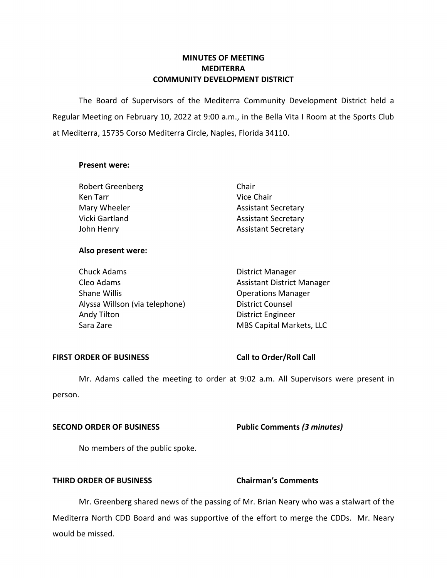# **MINUTES OF MEETING MEDITERRA COMMUNITY DEVELOPMENT DISTRICT**

 The Board of Supervisors of the Mediterra Community Development District held a Regular Meeting on February 10, 2022 at 9:00 a.m., in the Bella Vita I Room at the Sports Club at Mediterra, 15735 Corso Mediterra Circle, Naples, Florida 34110.

## **Present were:**

| <b>Robert Greenberg</b> | Chair                      |
|-------------------------|----------------------------|
| Ken Tarr                | Vice Chair                 |
| Mary Wheeler            | <b>Assistant Secretary</b> |
| Vicki Gartland          | <b>Assistant Secretary</b> |
| John Henry              | <b>Assistant Secretary</b> |

## **Also present were:**

| <b>Chuck Adams</b>             | <b>District Manager</b>           |
|--------------------------------|-----------------------------------|
| Cleo Adams                     | <b>Assistant District Manager</b> |
| Shane Willis                   | <b>Operations Manager</b>         |
| Alyssa Willson (via telephone) | <b>District Counsel</b>           |
| Andy Tilton                    | <b>District Engineer</b>          |
| Sara Zare                      | MBS Capital Markets, LLC          |

## FIRST ORDER OF BUSINESS Call to Order/Roll Call

 Mr. Adams called the meeting to order at 9:02 a.m. All Supervisors were present in person.

 **SECOND ORDER OF BUSINESS Public Comments** *(3 minutes)* 

No members of the public spoke.

# **THIRD ORDER OF BUSINESS Chairman's Comments**

Mr. Greenberg shared news of the passing of Mr. Brian Neary who was a stalwart of the Mediterra North CDD Board and was supportive of the effort to merge the CDDs. Mr. Neary would be missed.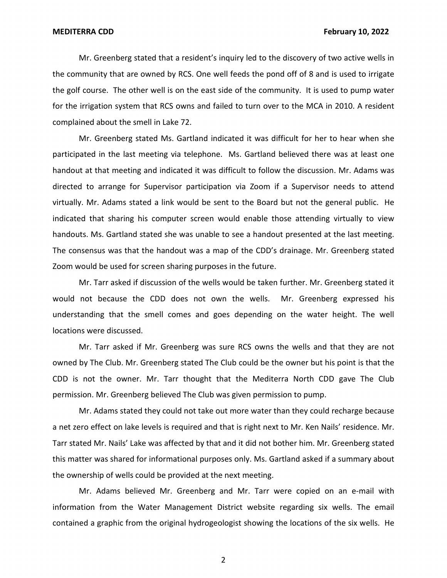Mr. Greenberg stated that a resident's inquiry led to the discovery of two active wells in the community that are owned by RCS. One well feeds the pond off of 8 and is used to irrigate the golf course. The other well is on the east side of the community. It is used to pump water for the irrigation system that RCS owns and failed to turn over to the MCA in 2010. A resident complained about the smell in Lake 72.

Mr. Greenberg stated Ms. Gartland indicated it was difficult for her to hear when she participated in the last meeting via telephone. Ms. Gartland believed there was at least one handout at that meeting and indicated it was difficult to follow the discussion. Mr. Adams was directed to arrange for Supervisor participation via Zoom if a Supervisor needs to attend virtually. Mr. Adams stated a link would be sent to the Board but not the general public. He indicated that sharing his computer screen would enable those attending virtually to view handouts. Ms. Gartland stated she was unable to see a handout presented at the last meeting. The consensus was that the handout was a map of the CDD's drainage. Mr. Greenberg stated Zoom would be used for screen sharing purposes in the future.

Mr. Tarr asked if discussion of the wells would be taken further. Mr. Greenberg stated it would not because the CDD does not own the wells. Mr. Greenberg expressed his understanding that the smell comes and goes depending on the water height. The well locations were discussed.

Mr. Tarr asked if Mr. Greenberg was sure RCS owns the wells and that they are not owned by The Club. Mr. Greenberg stated The Club could be the owner but his point is that the CDD is not the owner. Mr. Tarr thought that the Mediterra North CDD gave The Club permission. Mr. Greenberg believed The Club was given permission to pump.

Mr. Adams stated they could not take out more water than they could recharge because a net zero effect on lake levels is required and that is right next to Mr. Ken Nails' residence. Mr. Tarr stated Mr. Nails' Lake was affected by that and it did not bother him. Mr. Greenberg stated this matter was shared for informational purposes only. Ms. Gartland asked if a summary about the ownership of wells could be provided at the next meeting.

Mr. Adams believed Mr. Greenberg and Mr. Tarr were copied on an e-mail with information from the Water Management District website regarding six wells. The email contained a graphic from the original hydrogeologist showing the locations of the six wells. He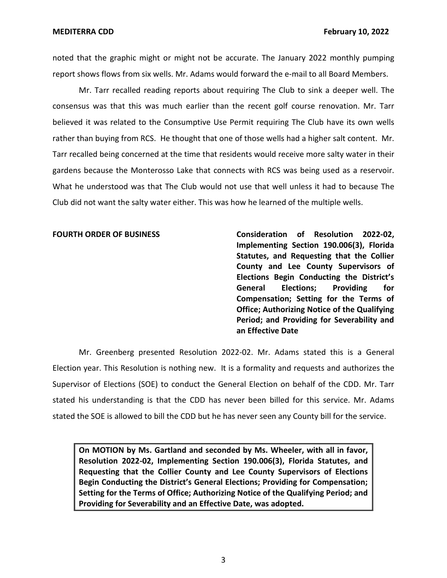**MEDITERRA CDD** 

noted that the graphic might or might not be accurate. The January 2022 monthly pumping report shows flows from six wells. Mr. Adams would forward the e-mail to all Board Members.

Mr. Tarr recalled reading reports about requiring The Club to sink a deeper well. The consensus was that this was much earlier than the recent golf course renovation. Mr. Tarr believed it was related to the Consumptive Use Permit requiring The Club have its own wells rather than buying from RCS. He thought that one of those wells had a higher salt content. Mr. Tarr recalled being concerned at the time that residents would receive more salty water in their gardens because the Monterosso Lake that connects with RCS was being used as a reservoir. What he understood was that The Club would not use that well unless it had to because The Club did not want the salty water either. This was how he learned of the multiple wells.

 **Implementing Section 190.006(3), Florida Statutes, and Requesting that the Collier County and Lee County Supervisors of Elections Begin Conducting the District's Compensation; Setting for the Terms of Office; Authorizing Notice of the Qualifying Period; and Providing for Severability and an Effective Date FOURTH ORDER OF BUSINESS Consideration of Resolution 2022-02, General Elections; Providing for** 

Mr. Greenberg presented Resolution 2022-02. Mr. Adams stated this is a General Election year. This Resolution is nothing new. It is a formality and requests and authorizes the Supervisor of Elections (SOE) to conduct the General Election on behalf of the CDD. Mr. Tarr stated his understanding is that the CDD has never been billed for this service. Mr. Adams stated the SOE is allowed to bill the CDD but he has never seen any County bill for the service.

 **On MOTION by Ms. Gartland and seconded by Ms. Wheeler, with all in favor, Requesting that the Collier County and Lee County Supervisors of Elections Begin Conducting the District's General Elections; Providing for Compensation; Setting for the Terms of Office; Authorizing Notice of the Qualifying Period; and Providing for Severability and an Effective Date, was adopted. Resolution 2022-02, Implementing Section 190.006(3), Florida Statutes, and**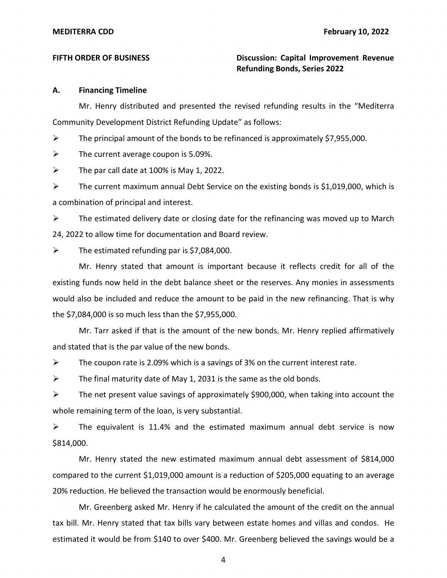**FIFTH ORDER OF BUSINESS Discussion: Capital Improvement Revenue Refunding Bonds, Series 2022** 

## **A. Financing Timeline**

Mr. Henry distributed and presented the revised refunding results in the "Mediterra Community Development District Refunding Update" as follows:

 $\triangleright$  The principal amount of the bonds to be refinanced is approximately \$7,955,000.

 $\triangleright$  The current average coupon is 5.09%.

 $\triangleright$  The par call date at 100% is May 1, 2022.

 $\triangleright$  The current maximum annual Debt Service on the existing bonds is \$1,019,000, which is a combination of principal and interest.

 $\triangleright$  The estimated delivery date or closing date for the refinancing was moved up to March 24, 2022 to allow time for documentation and Board review.

 $\triangleright$  The estimated refunding par is \$7,084,000.

Mr. Henry stated that amount is important because it reflects credit for all of the existing funds now held in the debt balance sheet or the reserves. Any monies in assessments would also be included and reduce the amount to be paid in the new refinancing. That is why the \$7,084,000 is so much less than the \$7,955,000.

Mr. Tarr asked if that is the amount of the new bonds. Mr. Henry replied affirmatively and stated that is the par value of the new bonds.

 $\triangleright$  The coupon rate is 2.09% which is a savings of 3% on the current interest rate.

 $\triangleright$  The final maturity date of May 1, 2031 is the same as the old bonds.

 $\triangleright$  The net present value savings of approximately \$900,000, when taking into account the whole remaining term of the loan, is very substantial.

 $\triangleright$  The equivalent is 11.4% and the estimated maximum annual debt service is now \$814,000.

Mr. Henry stated the new estimated maximum annual debt assessment of \$814,000 compared to the current \$1,019,000 amount is a reduction of \$205,000 equating to an average 20% reduction. He believed the transaction would be enormously beneficial.

Mr. Greenberg asked Mr. Henry if he calculated the amount of the credit on the annual tax bill. Mr. Henry stated that tax bills vary between estate homes and villas and condos. He estimated it would be from \$140 to over \$400. Mr. Greenberg believed the savings would be a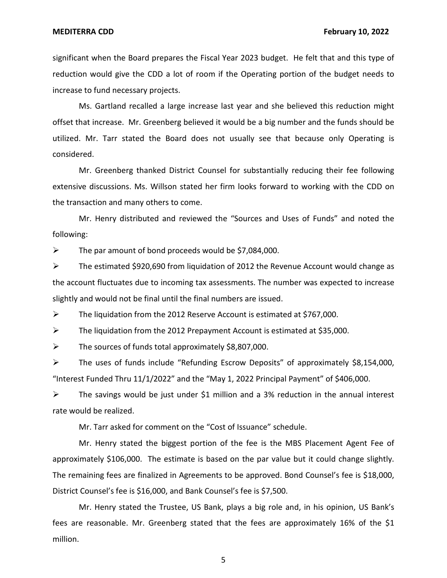significant when the Board prepares the Fiscal Year 2023 budget. He felt that and this type of reduction would give the CDD a lot of room if the Operating portion of the budget needs to increase to fund necessary projects.

Ms. Gartland recalled a large increase last year and she believed this reduction might offset that increase. Mr. Greenberg believed it would be a big number and the funds should be utilized. Mr. Tarr stated the Board does not usually see that because only Operating is considered.

Mr. Greenberg thanked District Counsel for substantially reducing their fee following extensive discussions. Ms. Willson stated her firm looks forward to working with the CDD on the transaction and many others to come.

Mr. Henry distributed and reviewed the "Sources and Uses of Funds" and noted the following:

 $\triangleright$  The par amount of bond proceeds would be \$7,084,000.

➢ The estimated \$920,690 from liquidation of 2012 the Revenue Account would change as the account fluctuates due to incoming tax assessments. The number was expected to increase slightly and would not be final until the final numbers are issued.

➢ The liquidation from the 2012 Reserve Account is estimated at \$767,000.

➢ The liquidation from the 2012 Prepayment Account is estimated at \$35,000.

 $\triangleright$  The sources of funds total approximately \$8,807,000.

 $\triangleright$  The uses of funds include "Refunding Escrow Deposits" of approximately \$8,154,000, "Interest Funded Thru  $11/1/2022$ " and the "May 1, 2022 Principal Payment" of \$406,000.

➢ The savings would be just under \$1 million and a 3% reduction in the annual interest rate would be realized.

Mr. Tarr asked for comment on the "Cost of Issuance" schedule.

Mr. Henry stated the biggest portion of the fee is the MBS Placement Agent Fee of approximately \$106,000. The estimate is based on the par value but it could change slightly. The remaining fees are finalized in Agreements to be approved. Bond Counsel's fee is \$18,000, District Counsel's fee is \$16,000, and Bank Counsel's fee is \$7,500.

Mr. Henry stated the Trustee, US Bank, plays a big role and, in his opinion, US Bank's fees are reasonable. Mr. Greenberg stated that the fees are approximately 16% of the \$1 million.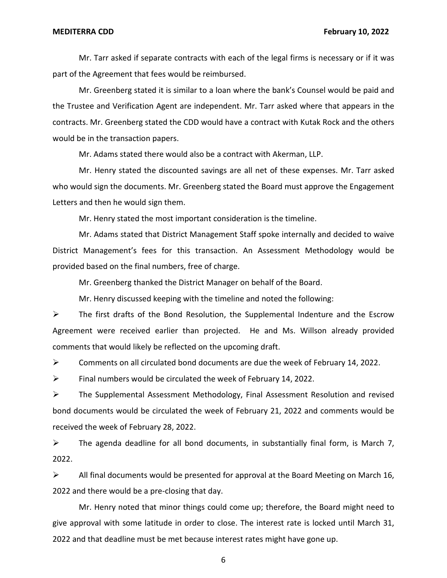Mr. Tarr asked if separate contracts with each of the legal firms is necessary or if it was part of the Agreement that fees would be reimbursed.

Mr. Greenberg stated it is similar to a loan where the bank's Counsel would be paid and the Trustee and Verification Agent are independent. Mr. Tarr asked where that appears in the contracts. Mr. Greenberg stated the CDD would have a contract with Kutak Rock and the others would be in the transaction papers.

Mr. Adams stated there would also be a contract with Akerman, LLP.

Mr. Henry stated the discounted savings are all net of these expenses. Mr. Tarr asked who would sign the documents. Mr. Greenberg stated the Board must approve the Engagement Letters and then he would sign them.

Mr. Henry stated the most important consideration is the timeline.

Mr. Adams stated that District Management Staff spoke internally and decided to waive District Management's fees for this transaction. An Assessment Methodology would be provided based on the final numbers, free of charge.

Mr. Greenberg thanked the District Manager on behalf of the Board.

Mr. Henry discussed keeping with the timeline and noted the following:

 $\triangleright$  The first drafts of the Bond Resolution, the Supplemental Indenture and the Escrow Agreement were received earlier than projected. He and Ms. Willson already provided comments that would likely be reflected on the upcoming draft.

 $\triangleright$  Comments on all circulated bond documents are due the week of February 14, 2022.

 $\triangleright$  Final numbers would be circulated the week of February 14, 2022.

➢ The Supplemental Assessment Methodology, Final Assessment Resolution and revised bond documents would be circulated the week of February 21, 2022 and comments would be received the week of February 28, 2022.

 $\triangleright$  The agenda deadline for all bond documents, in substantially final form, is March 7, 2022.

 $\triangleright$  All final documents would be presented for approval at the Board Meeting on March 16, 2022 and there would be a pre-closing that day.

Mr. Henry noted that minor things could come up; therefore, the Board might need to give approval with some latitude in order to close. The interest rate is locked until March 31, 2022 and that deadline must be met because interest rates might have gone up.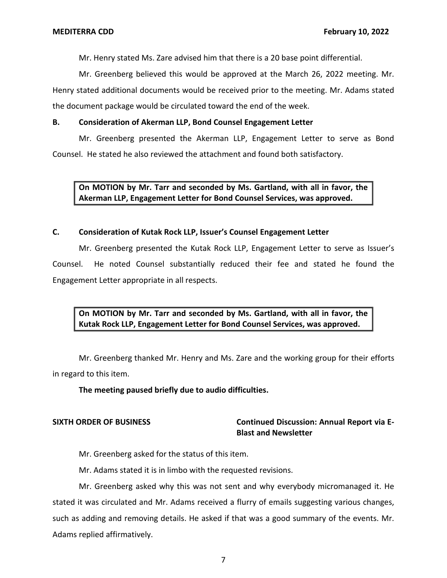Mr. Henry stated Ms. Zare advised him that there is a 20 base point differential.

Mr. Greenberg believed this would be approved at the March 26, 2022 meeting. Mr. Henry stated additional documents would be received prior to the meeting. Mr. Adams stated the document package would be circulated toward the end of the week.

# **B. Consideration of Akerman LLP, Bond Counsel Engagement Letter**

 Mr. Greenberg presented the Akerman LLP, Engagement Letter to serve as Bond Counsel. He stated he also reviewed the attachment and found both satisfactory.

 **On MOTION by Mr. Tarr and seconded by Ms. Gartland, with all in favor, the Akerman LLP, Engagement Letter for Bond Counsel Services, was approved.** 

# **C. Consideration of Kutak Rock LLP, Issuer's Counsel Engagement Letter**

 Mr. Greenberg presented the Kutak Rock LLP, Engagement Letter to serve as Issuer's Counsel. He noted Counsel substantially reduced their fee and stated he found the Engagement Letter appropriate in all respects.

 **On MOTION by Mr. Tarr and seconded by Ms. Gartland, with all in favor, the Kutak Rock LLP, Engagement Letter for Bond Counsel Services, was approved.** 

Mr. Greenberg thanked Mr. Henry and Ms. Zare and the working group for their efforts in regard to this item.

**The meeting paused briefly due to audio difficulties.** 

# **Blast and Newsletter SIXTH ORDER OF BUSINESS Continued Discussion: Annual Report via E-**

Mr. Greenberg asked for the status of this item.

Mr. Adams stated it is in limbo with the requested revisions.

Mr. Greenberg asked why this was not sent and why everybody micromanaged it. He stated it was circulated and Mr. Adams received a flurry of emails suggesting various changes, such as adding and removing details. He asked if that was a good summary of the events. Mr. Adams replied affirmatively.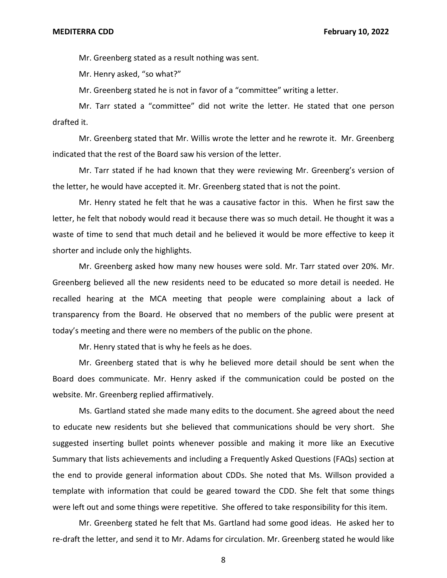Mr. Greenberg stated as a result nothing was sent.

Mr. Henry asked, "so what?"

Mr. Greenberg stated he is not in favor of a "committee" writing a letter.

Mr. Tarr stated a "committee" did not write the letter. He stated that one person drafted it.

Mr. Greenberg stated that Mr. Willis wrote the letter and he rewrote it. Mr. Greenberg indicated that the rest of the Board saw his version of the letter.

Mr. Tarr stated if he had known that they were reviewing Mr. Greenberg's version of the letter, he would have accepted it. Mr. Greenberg stated that is not the point.

Mr. Henry stated he felt that he was a causative factor in this. When he first saw the letter, he felt that nobody would read it because there was so much detail. He thought it was a waste of time to send that much detail and he believed it would be more effective to keep it shorter and include only the highlights.

Mr. Greenberg asked how many new houses were sold. Mr. Tarr stated over 20%. Mr. Greenberg believed all the new residents need to be educated so more detail is needed. He recalled hearing at the MCA meeting that people were complaining about a lack of transparency from the Board. He observed that no members of the public were present at today's meeting and there were no members of the public on the phone.

Mr. Henry stated that is why he feels as he does.

Mr. Greenberg stated that is why he believed more detail should be sent when the Board does communicate. Mr. Henry asked if the communication could be posted on the website. Mr. Greenberg replied affirmatively.

Ms. Gartland stated she made many edits to the document. She agreed about the need to educate new residents but she believed that communications should be very short. She suggested inserting bullet points whenever possible and making it more like an Executive Summary that lists achievements and including a Frequently Asked Questions (FAQs) section at the end to provide general information about CDDs. She noted that Ms. Willson provided a template with information that could be geared toward the CDD. She felt that some things were left out and some things were repetitive. She offered to take responsibility for this item.

Mr. Greenberg stated he felt that Ms. Gartland had some good ideas. He asked her to re-draft the letter, and send it to Mr. Adams for circulation. Mr. Greenberg stated he would like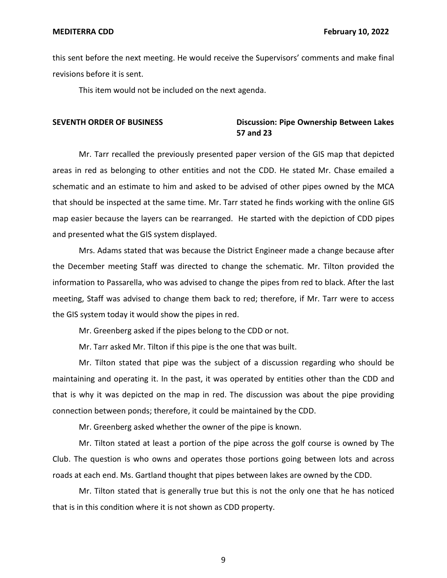this sent before the next meeting. He would receive the Supervisors' comments and make final revisions before it is sent.

This item would not be included on the next agenda.

# **SEVENTH ORDER OF BUSINESS CONSUMING DISCUSSION: Pipe Ownership Between Lakes 57 and 23**

Mr. Tarr recalled the previously presented paper version of the GIS map that depicted areas in red as belonging to other entities and not the CDD. He stated Mr. Chase emailed a schematic and an estimate to him and asked to be advised of other pipes owned by the MCA that should be inspected at the same time. Mr. Tarr stated he finds working with the online GIS map easier because the layers can be rearranged. He started with the depiction of CDD pipes and presented what the GIS system displayed.

Mrs. Adams stated that was because the District Engineer made a change because after the December meeting Staff was directed to change the schematic. Mr. Tilton provided the information to Passarella, who was advised to change the pipes from red to black. After the last meeting, Staff was advised to change them back to red; therefore, if Mr. Tarr were to access the GIS system today it would show the pipes in red.

Mr. Greenberg asked if the pipes belong to the CDD or not.

Mr. Tarr asked Mr. Tilton if this pipe is the one that was built.

Mr. Tilton stated that pipe was the subject of a discussion regarding who should be maintaining and operating it. In the past, it was operated by entities other than the CDD and that is why it was depicted on the map in red. The discussion was about the pipe providing connection between ponds; therefore, it could be maintained by the CDD.

Mr. Greenberg asked whether the owner of the pipe is known.

Mr. Tilton stated at least a portion of the pipe across the golf course is owned by The Club. The question is who owns and operates those portions going between lots and across roads at each end. Ms. Gartland thought that pipes between lakes are owned by the CDD.

Mr. Tilton stated that is generally true but this is not the only one that he has noticed that is in this condition where it is not shown as CDD property.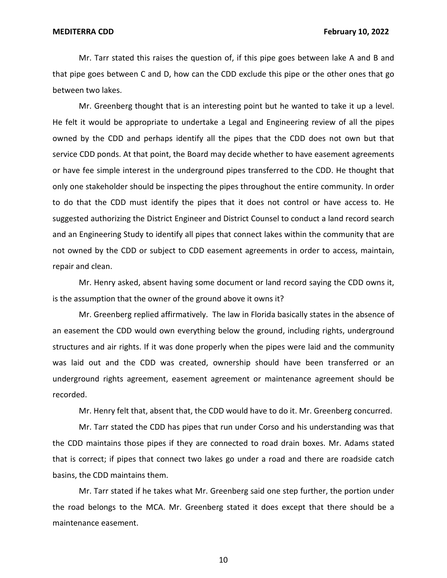Mr. Tarr stated this raises the question of, if this pipe goes between lake A and B and that pipe goes between C and D, how can the CDD exclude this pipe or the other ones that go between two lakes.

Mr. Greenberg thought that is an interesting point but he wanted to take it up a level. He felt it would be appropriate to undertake a Legal and Engineering review of all the pipes owned by the CDD and perhaps identify all the pipes that the CDD does not own but that service CDD ponds. At that point, the Board may decide whether to have easement agreements or have fee simple interest in the underground pipes transferred to the CDD. He thought that only one stakeholder should be inspecting the pipes throughout the entire community. In order to do that the CDD must identify the pipes that it does not control or have access to. He suggested authorizing the District Engineer and District Counsel to conduct a land record search and an Engineering Study to identify all pipes that connect lakes within the community that are not owned by the CDD or subject to CDD easement agreements in order to access, maintain, repair and clean.

Mr. Henry asked, absent having some document or land record saying the CDD owns it, is the assumption that the owner of the ground above it owns it?

Mr. Greenberg replied affirmatively. The law in Florida basically states in the absence of an easement the CDD would own everything below the ground, including rights, underground structures and air rights. If it was done properly when the pipes were laid and the community was laid out and the CDD was created, ownership should have been transferred or an underground rights agreement, easement agreement or maintenance agreement should be recorded.

Mr. Henry felt that, absent that, the CDD would have to do it. Mr. Greenberg concurred.

Mr. Tarr stated the CDD has pipes that run under Corso and his understanding was that the CDD maintains those pipes if they are connected to road drain boxes. Mr. Adams stated that is correct; if pipes that connect two lakes go under a road and there are roadside catch basins, the CDD maintains them.

Mr. Tarr stated if he takes what Mr. Greenberg said one step further, the portion under the road belongs to the MCA. Mr. Greenberg stated it does except that there should be a maintenance easement.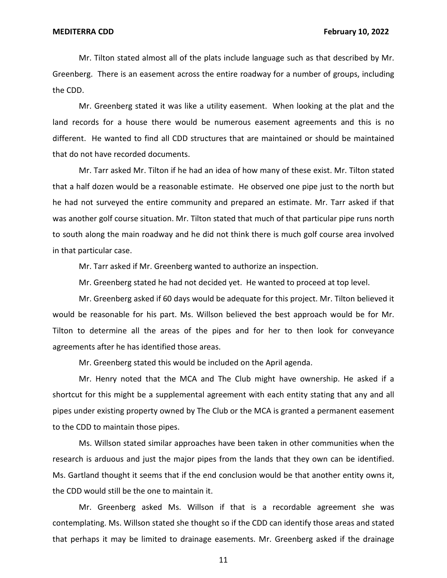Mr. Tilton stated almost all of the plats include language such as that described by Mr. Greenberg. There is an easement across the entire roadway for a number of groups, including the CDD.

Mr. Greenberg stated it was like a utility easement. When looking at the plat and the land records for a house there would be numerous easement agreements and this is no different. He wanted to find all CDD structures that are maintained or should be maintained that do not have recorded documents.

Mr. Tarr asked Mr. Tilton if he had an idea of how many of these exist. Mr. Tilton stated that a half dozen would be a reasonable estimate. He observed one pipe just to the north but he had not surveyed the entire community and prepared an estimate. Mr. Tarr asked if that was another golf course situation. Mr. Tilton stated that much of that particular pipe runs north to south along the main roadway and he did not think there is much golf course area involved in that particular case.

Mr. Tarr asked if Mr. Greenberg wanted to authorize an inspection.

Mr. Greenberg stated he had not decided yet. He wanted to proceed at top level.

Mr. Greenberg asked if 60 days would be adequate for this project. Mr. Tilton believed it would be reasonable for his part. Ms. Willson believed the best approach would be for Mr. Tilton to determine all the areas of the pipes and for her to then look for conveyance agreements after he has identified those areas.

Mr. Greenberg stated this would be included on the April agenda.

Mr. Henry noted that the MCA and The Club might have ownership. He asked if a shortcut for this might be a supplemental agreement with each entity stating that any and all pipes under existing property owned by The Club or the MCA is granted a permanent easement to the CDD to maintain those pipes.

Ms. Willson stated similar approaches have been taken in other communities when the research is arduous and just the major pipes from the lands that they own can be identified. Ms. Gartland thought it seems that if the end conclusion would be that another entity owns it, the CDD would still be the one to maintain it.

Mr. Greenberg asked Ms. Willson if that is a recordable agreement she was contemplating. Ms. Willson stated she thought so if the CDD can identify those areas and stated that perhaps it may be limited to drainage easements. Mr. Greenberg asked if the drainage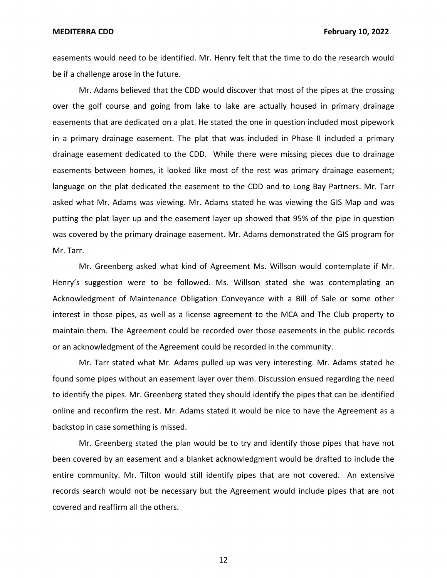**MEDITERRA CDD February 10, 2022** 

easements would need to be identified. Mr. Henry felt that the time to do the research would be if a challenge arose in the future.

Mr. Adams believed that the CDD would discover that most of the pipes at the crossing over the golf course and going from lake to lake are actually housed in primary drainage easements that are dedicated on a plat. He stated the one in question included most pipework in a primary drainage easement. The plat that was included in Phase II included a primary drainage easement dedicated to the CDD. While there were missing pieces due to drainage easements between homes, it looked like most of the rest was primary drainage easement; language on the plat dedicated the easement to the CDD and to Long Bay Partners. Mr. Tarr asked what Mr. Adams was viewing. Mr. Adams stated he was viewing the GIS Map and was putting the plat layer up and the easement layer up showed that 95% of the pipe in question was covered by the primary drainage easement. Mr. Adams demonstrated the GIS program for Mr. Tarr.

Mr. Greenberg asked what kind of Agreement Ms. Willson would contemplate if Mr. Henry's suggestion were to be followed. Ms. Willson stated she was contemplating an Acknowledgment of Maintenance Obligation Conveyance with a Bill of Sale or some other interest in those pipes, as well as a license agreement to the MCA and The Club property to maintain them. The Agreement could be recorded over those easements in the public records or an acknowledgment of the Agreement could be recorded in the community.

Mr. Tarr stated what Mr. Adams pulled up was very interesting. Mr. Adams stated he found some pipes without an easement layer over them. Discussion ensued regarding the need to identify the pipes. Mr. Greenberg stated they should identify the pipes that can be identified online and reconfirm the rest. Mr. Adams stated it would be nice to have the Agreement as a backstop in case something is missed.

Mr. Greenberg stated the plan would be to try and identify those pipes that have not been covered by an easement and a blanket acknowledgment would be drafted to include the entire community. Mr. Tilton would still identify pipes that are not covered. An extensive records search would not be necessary but the Agreement would include pipes that are not covered and reaffirm all the others.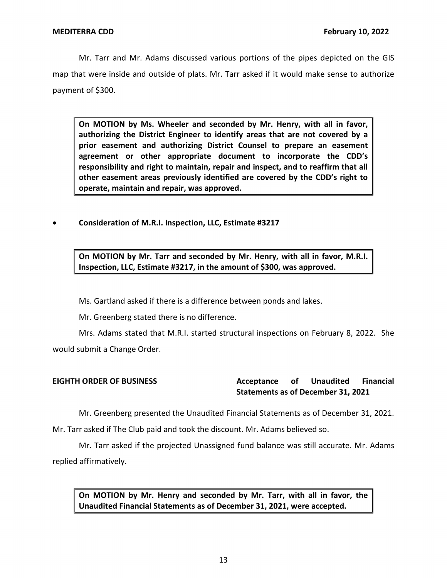Mr. Tarr and Mr. Adams discussed various portions of the pipes depicted on the GIS map that were inside and outside of plats. Mr. Tarr asked if it would make sense to authorize payment of \$300.

 **On MOTION by Ms. Wheeler and seconded by Mr. Henry, with all in favor, authorizing the District Engineer to identify areas that are not covered by a prior easement and authorizing District Counsel to prepare an easement agreement or other appropriate document to incorporate the CDD's responsibility and right to maintain, repair and inspect, and to reaffirm that all other easement areas previously identified are covered by the CDD's right to operate, maintain and repair, was approved.** 

• **Consideration of M.R.I. Inspection, LLC, Estimate #3217** 

 **On MOTION by Mr. Tarr and seconded by Mr. Henry, with all in favor, M.R.I. Inspection, LLC, Estimate #3217, in the amount of \$300, was approved.** 

Ms. Gartland asked if there is a difference between ponds and lakes.

Mr. Greenberg stated there is no difference.

Mrs. Adams stated that M.R.I. started structural inspections on February 8, 2022. She would submit a Change Order.

**EIGHTH ORDER OF BUSINESS Acceptance of Unaudited Financial Statements as of December 31, 2021** 

Mr. Greenberg presented the Unaudited Financial Statements as of December 31, 2021.

Mr. Tarr asked if The Club paid and took the discount. Mr. Adams believed so.

Mr. Tarr asked if the projected Unassigned fund balance was still accurate. Mr. Adams replied affirmatively.

 **On MOTION by Mr. Henry and seconded by Mr. Tarr, with all in favor, the Unaudited Financial Statements as of December 31, 2021, were accepted.**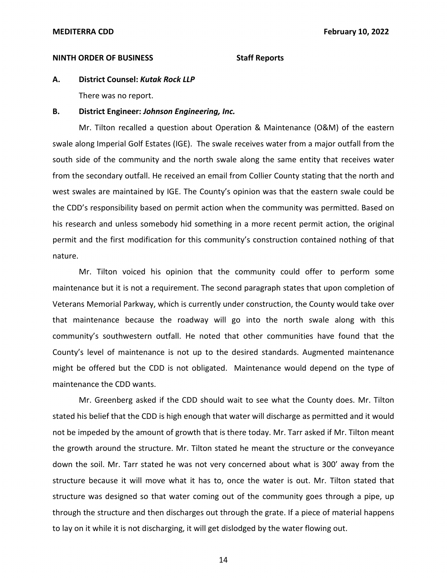### **NINTH ORDER OF BUSINESS** Staff Reports

**A. District Counsel:** *Kutak Rock LLP* 

There was no report.

### **B. District Engineer:** *Johnson Engineering, Inc.*

Mr. Tilton recalled a question about Operation & Maintenance (O&M) of the eastern swale along Imperial Golf Estates (IGE). The swale receives water from a major outfall from the south side of the community and the north swale along the same entity that receives water from the secondary outfall. He received an email from Collier County stating that the north and west swales are maintained by IGE. The County's opinion was that the eastern swale could be the CDD's responsibility based on permit action when the community was permitted. Based on his research and unless somebody hid something in a more recent permit action, the original permit and the first modification for this community's construction contained nothing of that nature.

Mr. Tilton voiced his opinion that the community could offer to perform some maintenance but it is not a requirement. The second paragraph states that upon completion of Veterans Memorial Parkway, which is currently under construction, the County would take over that maintenance because the roadway will go into the north swale along with this community's southwestern outfall. He noted that other communities have found that the County's level of maintenance is not up to the desired standards. Augmented maintenance might be offered but the CDD is not obligated. Maintenance would depend on the type of maintenance the CDD wants.

Mr. Greenberg asked if the CDD should wait to see what the County does. Mr. Tilton stated his belief that the CDD is high enough that water will discharge as permitted and it would not be impeded by the amount of growth that is there today. Mr. Tarr asked if Mr. Tilton meant the growth around the structure. Mr. Tilton stated he meant the structure or the conveyance down the soil. Mr. Tarr stated he was not very concerned about what is 300' away from the structure because it will move what it has to, once the water is out. Mr. Tilton stated that structure was designed so that water coming out of the community goes through a pipe, up through the structure and then discharges out through the grate. If a piece of material happens to lay on it while it is not discharging, it will get dislodged by the water flowing out.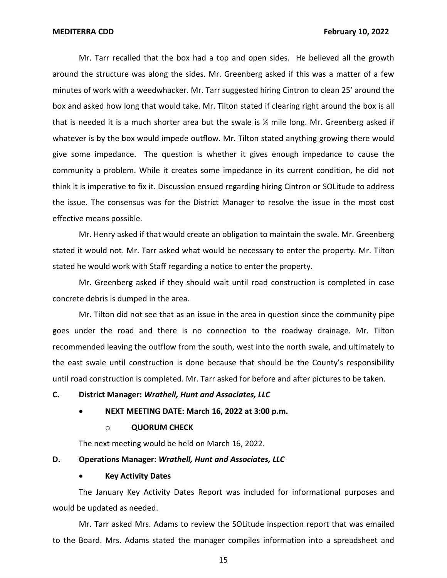Mr. Tarr recalled that the box had a top and open sides. He believed all the growth around the structure was along the sides. Mr. Greenberg asked if this was a matter of a few minutes of work with a weedwhacker. Mr. Tarr suggested hiring Cintron to clean 25' around the box and asked how long that would take. Mr. Tilton stated if clearing right around the box is all that is needed it is a much shorter area but the swale is ¼ mile long. Mr. Greenberg asked if whatever is by the box would impede outflow. Mr. Tilton stated anything growing there would give some impedance. The question is whether it gives enough impedance to cause the community a problem. While it creates some impedance in its current condition, he did not think it is imperative to fix it. Discussion ensued regarding hiring Cintron or SOLitude to address the issue. The consensus was for the District Manager to resolve the issue in the most cost effective means possible.

Mr. Henry asked if that would create an obligation to maintain the swale. Mr. Greenberg stated it would not. Mr. Tarr asked what would be necessary to enter the property. Mr. Tilton stated he would work with Staff regarding a notice to enter the property.

Mr. Greenberg asked if they should wait until road construction is completed in case concrete debris is dumped in the area.

Mr. Tilton did not see that as an issue in the area in question since the community pipe goes under the road and there is no connection to the roadway drainage. Mr. Tilton recommended leaving the outflow from the south, west into the north swale, and ultimately to the east swale until construction is done because that should be the County's responsibility until road construction is completed. Mr. Tarr asked for before and after pictures to be taken.

## **C. District Manager:** *Wrathell, Hunt and Associates, LLC*

## • **NEXT MEETING DATE: March 16, 2022 at 3:00 p.m.**

### o **QUORUM CHECK**

The next meeting would be held on March 16, 2022.

## **D. Operations Manager:** *Wrathell, Hunt and Associates, LLC*

### • **Key Activity Dates**

The January Key Activity Dates Report was included for informational purposes and would be updated as needed.

Mr. Tarr asked Mrs. Adams to review the SOLitude inspection report that was emailed to the Board. Mrs. Adams stated the manager compiles information into a spreadsheet and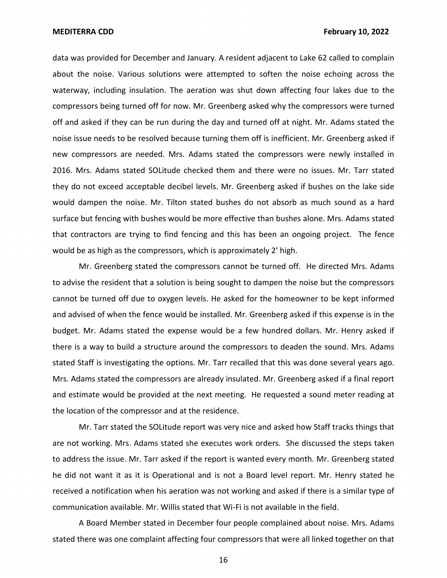data was provided for December and January. A resident adjacent to Lake 62 called to complain about the noise. Various solutions were attempted to soften the noise echoing across the waterway, including insulation. The aeration was shut down affecting four lakes due to the compressors being turned off for now. Mr. Greenberg asked why the compressors were turned off and asked if they can be run during the day and turned off at night. Mr. Adams stated the noise issue needs to be resolved because turning them off is inefficient. Mr. Greenberg asked if new compressors are needed. Mrs. Adams stated the compressors were newly installed in 2016. Mrs. Adams stated SOLitude checked them and there were no issues. Mr. Tarr stated they do not exceed acceptable decibel levels. Mr. Greenberg asked if bushes on the lake side would dampen the noise. Mr. Tilton stated bushes do not absorb as much sound as a hard surface but fencing with bushes would be more effective than bushes alone. Mrs. Adams stated that contractors are trying to find fencing and this has been an ongoing project. The fence would be as high as the compressors, which is approximately 2' high.

Mr. Greenberg stated the compressors cannot be turned off. He directed Mrs. Adams to advise the resident that a solution is being sought to dampen the noise but the compressors cannot be turned off due to oxygen levels. He asked for the homeowner to be kept informed and advised of when the fence would be installed. Mr. Greenberg asked if this expense is in the budget. Mr. Adams stated the expense would be a few hundred dollars. Mr. Henry asked if there is a way to build a structure around the compressors to deaden the sound. Mrs. Adams stated Staff is investigating the options. Mr. Tarr recalled that this was done several years ago. Mrs. Adams stated the compressors are already insulated. Mr. Greenberg asked if a final report and estimate would be provided at the next meeting. He requested a sound meter reading at the location of the compressor and at the residence.

Mr. Tarr stated the SOLitude report was very nice and asked how Staff tracks things that are not working. Mrs. Adams stated she executes work orders. She discussed the steps taken to address the issue. Mr. Tarr asked if the report is wanted every month. Mr. Greenberg stated he did not want it as it is Operational and is not a Board level report. Mr. Henry stated he received a notification when his aeration was not working and asked if there is a similar type of communication available. Mr. Willis stated that Wi-Fi is not available in the field.

A Board Member stated in December four people complained about noise. Mrs. Adams stated there was one complaint affecting four compressors that were all linked together on that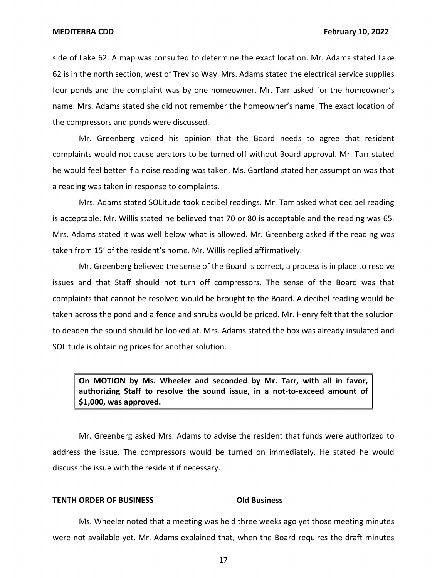side of Lake 62. A map was consulted to determine the exact location. Mr. Adams stated Lake 62 is in the north section, west of Treviso Way. Mrs. Adams stated the electrical service supplies four ponds and the complaint was by one homeowner. Mr. Tarr asked for the homeowner's name. Mrs. Adams stated she did not remember the homeowner's name. The exact location of the compressors and ponds were discussed.

Mr. Greenberg voiced his opinion that the Board needs to agree that resident complaints would not cause aerators to be turned off without Board approval. Mr. Tarr stated he would feel better if a noise reading was taken. Ms. Gartland stated her assumption was that a reading was taken in response to complaints.

Mrs. Adams stated SOLitude took decibel readings. Mr. Tarr asked what decibel reading is acceptable. Mr. Willis stated he believed that 70 or 80 is acceptable and the reading was 65. Mrs. Adams stated it was well below what is allowed. Mr. Greenberg asked if the reading was taken from 15' of the resident's home. Mr. Willis replied affirmatively.

Mr. Greenberg believed the sense of the Board is correct, a process is in place to resolve issues and that Staff should not turn off compressors. The sense of the Board was that complaints that cannot be resolved would be brought to the Board. A decibel reading would be taken across the pond and a fence and shrubs would be priced. Mr. Henry felt that the solution to deaden the sound should be looked at. Mrs. Adams stated the box was already insulated and SOLitude is obtaining prices for another solution.

 **On MOTION by Ms. Wheeler and seconded by Mr. Tarr, with all in favor, authorizing Staff to resolve the sound issue, in a not-to-exceed amount of \$1,000, was approved.** 

Mr. Greenberg asked Mrs. Adams to advise the resident that funds were authorized to address the issue. The compressors would be turned on immediately. He stated he would discuss the issue with the resident if necessary.

### **TENTH ORDER OF BUSINESS CONSIDER ORDER OF BUSINESS**

Ms. Wheeler noted that a meeting was held three weeks ago yet those meeting minutes were not available yet. Mr. Adams explained that, when the Board requires the draft minutes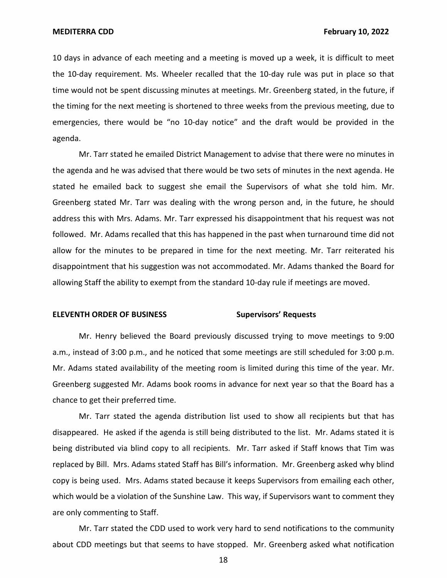10 days in advance of each meeting and a meeting is moved up a week, it is difficult to meet the 10-day requirement. Ms. Wheeler recalled that the 10-day rule was put in place so that time would not be spent discussing minutes at meetings. Mr. Greenberg stated, in the future, if the timing for the next meeting is shortened to three weeks from the previous meeting, due to emergencies, there would be "no 10-day notice" and the draft would be provided in the agenda.

Mr. Tarr stated he emailed District Management to advise that there were no minutes in the agenda and he was advised that there would be two sets of minutes in the next agenda. He stated he emailed back to suggest she email the Supervisors of what she told him. Mr. Greenberg stated Mr. Tarr was dealing with the wrong person and, in the future, he should address this with Mrs. Adams. Mr. Tarr expressed his disappointment that his request was not followed. Mr. Adams recalled that this has happened in the past when turnaround time did not allow for the minutes to be prepared in time for the next meeting. Mr. Tarr reiterated his disappointment that his suggestion was not accommodated. Mr. Adams thanked the Board for allowing Staff the ability to exempt from the standard 10-day rule if meetings are moved.

## **ELEVENTH ORDER OF BUSINESS Supervisors' Requests**

Mr. Henry believed the Board previously discussed trying to move meetings to 9:00 a.m., instead of 3:00 p.m., and he noticed that some meetings are still scheduled for 3:00 p.m. Mr. Adams stated availability of the meeting room is limited during this time of the year. Mr. Greenberg suggested Mr. Adams book rooms in advance for next year so that the Board has a chance to get their preferred time.

Mr. Tarr stated the agenda distribution list used to show all recipients but that has disappeared. He asked if the agenda is still being distributed to the list. Mr. Adams stated it is being distributed via blind copy to all recipients. Mr. Tarr asked if Staff knows that Tim was replaced by Bill. Mrs. Adams stated Staff has Bill's information. Mr. Greenberg asked why blind copy is being used. Mrs. Adams stated because it keeps Supervisors from emailing each other, which would be a violation of the Sunshine Law. This way, if Supervisors want to comment they are only commenting to Staff.

Mr. Tarr stated the CDD used to work very hard to send notifications to the community about CDD meetings but that seems to have stopped. Mr. Greenberg asked what notification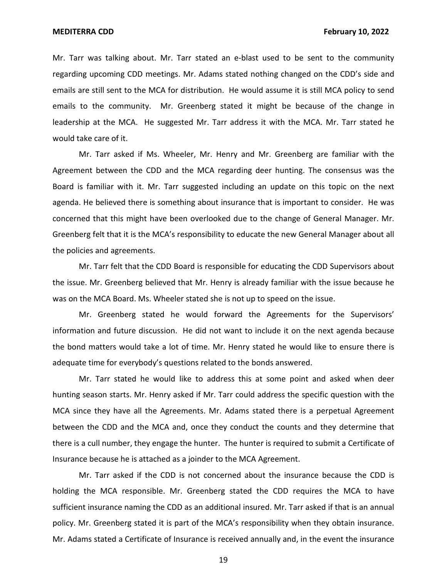Mr. Tarr was talking about. Mr. Tarr stated an e-blast used to be sent to the community regarding upcoming CDD meetings. Mr. Adams stated nothing changed on the CDD's side and emails are still sent to the MCA for distribution. He would assume it is still MCA policy to send emails to the community. Mr. Greenberg stated it might be because of the change in leadership at the MCA. He suggested Mr. Tarr address it with the MCA. Mr. Tarr stated he would take care of it.

Mr. Tarr asked if Ms. Wheeler, Mr. Henry and Mr. Greenberg are familiar with the Agreement between the CDD and the MCA regarding deer hunting. The consensus was the Board is familiar with it. Mr. Tarr suggested including an update on this topic on the next agenda. He believed there is something about insurance that is important to consider. He was concerned that this might have been overlooked due to the change of General Manager. Mr. Greenberg felt that it is the MCA's responsibility to educate the new General Manager about all the policies and agreements.

Mr. Tarr felt that the CDD Board is responsible for educating the CDD Supervisors about the issue. Mr. Greenberg believed that Mr. Henry is already familiar with the issue because he was on the MCA Board. Ms. Wheeler stated she is not up to speed on the issue.

Mr. Greenberg stated he would forward the Agreements for the Supervisors' information and future discussion. He did not want to include it on the next agenda because the bond matters would take a lot of time. Mr. Henry stated he would like to ensure there is adequate time for everybody's questions related to the bonds answered.

Mr. Tarr stated he would like to address this at some point and asked when deer hunting season starts. Mr. Henry asked if Mr. Tarr could address the specific question with the MCA since they have all the Agreements. Mr. Adams stated there is a perpetual Agreement between the CDD and the MCA and, once they conduct the counts and they determine that there is a cull number, they engage the hunter. The hunter is required to submit a Certificate of Insurance because he is attached as a joinder to the MCA Agreement.

Mr. Tarr asked if the CDD is not concerned about the insurance because the CDD is holding the MCA responsible. Mr. Greenberg stated the CDD requires the MCA to have sufficient insurance naming the CDD as an additional insured. Mr. Tarr asked if that is an annual policy. Mr. Greenberg stated it is part of the MCA's responsibility when they obtain insurance. Mr. Adams stated a Certificate of Insurance is received annually and, in the event the insurance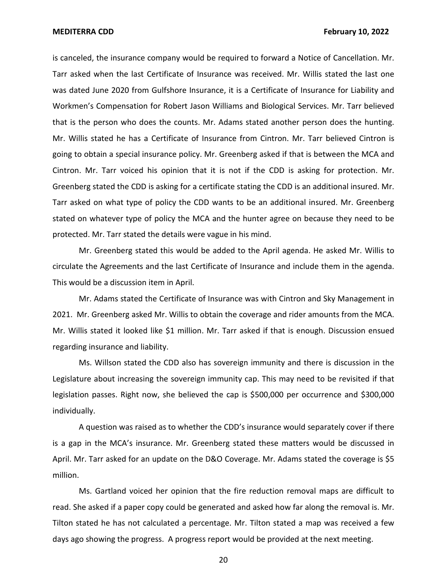is canceled, the insurance company would be required to forward a Notice of Cancellation. Mr. Tarr asked when the last Certificate of Insurance was received. Mr. Willis stated the last one was dated June 2020 from Gulfshore Insurance, it is a Certificate of Insurance for Liability and Workmen's Compensation for Robert Jason Williams and Biological Services. Mr. Tarr believed that is the person who does the counts. Mr. Adams stated another person does the hunting. Mr. Willis stated he has a Certificate of Insurance from Cintron. Mr. Tarr believed Cintron is going to obtain a special insurance policy. Mr. Greenberg asked if that is between the MCA and Cintron. Mr. Tarr voiced his opinion that it is not if the CDD is asking for protection. Mr. Greenberg stated the CDD is asking for a certificate stating the CDD is an additional insured. Mr. Tarr asked on what type of policy the CDD wants to be an additional insured. Mr. Greenberg stated on whatever type of policy the MCA and the hunter agree on because they need to be protected. Mr. Tarr stated the details were vague in his mind.

Mr. Greenberg stated this would be added to the April agenda. He asked Mr. Willis to circulate the Agreements and the last Certificate of Insurance and include them in the agenda. This would be a discussion item in April.

Mr. Adams stated the Certificate of Insurance was with Cintron and Sky Management in 2021. Mr. Greenberg asked Mr. Willis to obtain the coverage and rider amounts from the MCA. Mr. Willis stated it looked like \$1 million. Mr. Tarr asked if that is enough. Discussion ensued regarding insurance and liability.

Ms. Willson stated the CDD also has sovereign immunity and there is discussion in the Legislature about increasing the sovereign immunity cap. This may need to be revisited if that legislation passes. Right now, she believed the cap is \$500,000 per occurrence and \$300,000 individually.

A question was raised as to whether the CDD's insurance would separately cover if there is a gap in the MCA's insurance. Mr. Greenberg stated these matters would be discussed in April. Mr. Tarr asked for an update on the D&O Coverage. Mr. Adams stated the coverage is \$5 million.

Ms. Gartland voiced her opinion that the fire reduction removal maps are difficult to read. She asked if a paper copy could be generated and asked how far along the removal is. Mr. Tilton stated he has not calculated a percentage. Mr. Tilton stated a map was received a few days ago showing the progress. A progress report would be provided at the next meeting.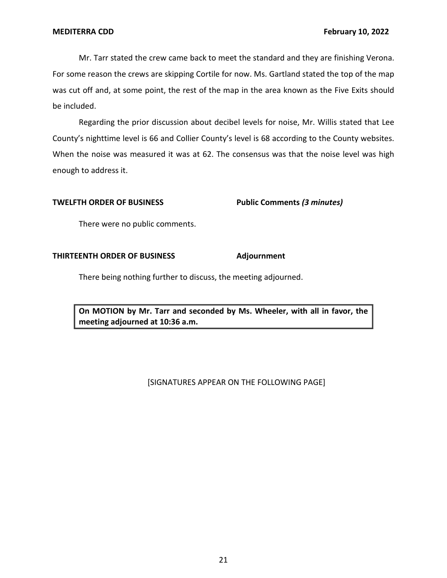Mr. Tarr stated the crew came back to meet the standard and they are finishing Verona. For some reason the crews are skipping Cortile for now. Ms. Gartland stated the top of the map was cut off and, at some point, the rest of the map in the area known as the Five Exits should be included.

Regarding the prior discussion about decibel levels for noise, Mr. Willis stated that Lee County's nighttime level is 66 and Collier County's level is 68 according to the County websites. When the noise was measured it was at 62. The consensus was that the noise level was high enough to address it.

## **TWELFTH ORDER OF BUSINESS Public Comments** *(3 minutes)*

There were no public comments.

## **THIRTEENTH ORDER OF BUSINESS Adjournment**

There being nothing further to discuss, the meeting adjourned.

 **On MOTION by Mr. Tarr and seconded by Ms. Wheeler, with all in favor, the meeting adjourned at 10:36 a.m.** 

# [SIGNATURES APPEAR ON THE FOLLOWING PAGE]